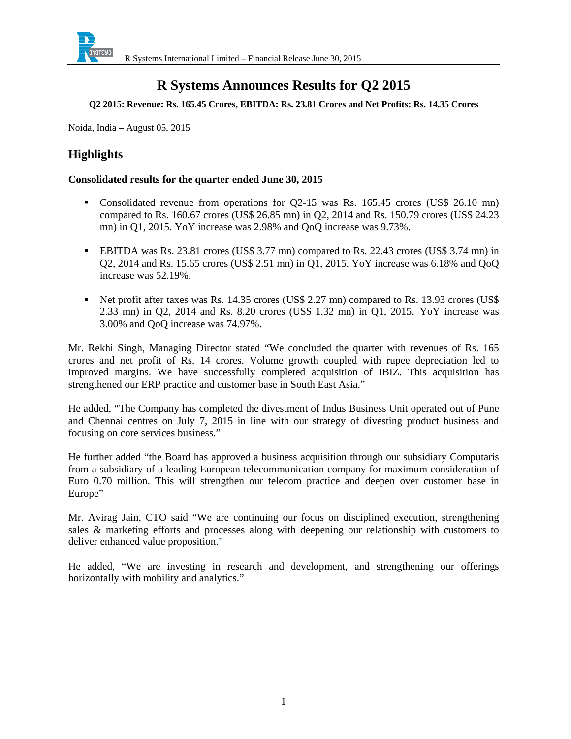

# **R Systems Announces Results for Q2 2015**

#### **Q2 2015: Revenue: Rs. 165.45 Crores, EBITDA: Rs. 23.81 Crores and Net Profits: Rs. 14.35 Crores**

Noida, India – August 05, 2015

# **Highlights**

### **Consolidated results for the quarter ended June 30, 2015**

- Consolidated revenue from operations for Q2-15 was Rs. 165.45 crores (US\$ 26.10 mn) compared to Rs. 160.67 crores (US\$ 26.85 mn) in Q2, 2014 and Rs. 150.79 crores (US\$ 24.23 mn) in Q1, 2015. YoY increase was 2.98% and QoQ increase was 9.73%.
- EBITDA was Rs. 23.81 crores (US\$ 3.77 mn) compared to Rs. 22.43 crores (US\$ 3.74 mn) in Q2, 2014 and Rs. 15.65 crores (US\$ 2.51 mn) in Q1, 2015. YoY increase was 6.18% and QoQ increase was 52.19%.
- Net profit after taxes was Rs. 14.35 crores (US\$ 2.27 mn) compared to Rs. 13.93 crores (US\$ 2.33 mn) in Q2, 2014 and Rs. 8.20 crores (US\$ 1.32 mn) in Q1, 2015. YoY increase was 3.00% and QoQ increase was 74.97%.

Mr. Rekhi Singh, Managing Director stated "We concluded the quarter with revenues of Rs. 165 crores and net profit of Rs. 14 crores. Volume growth coupled with rupee depreciation led to improved margins. We have successfully completed acquisition of IBIZ. This acquisition has strengthened our ERP practice and customer base in South East Asia."

He added, "The Company has completed the divestment of Indus Business Unit operated out of Pune and Chennai centres on July 7, 2015 in line with our strategy of divesting product business and focusing on core services business."

He further added "the Board has approved a business acquisition through our subsidiary Computaris from a subsidiary of a leading European telecommunication company for maximum consideration of Euro 0.70 million. This will strengthen our telecom practice and deepen over customer base in Europe"

Mr. Avirag Jain, CTO said "We are continuing our focus on disciplined execution, strengthening sales & marketing efforts and processes along with deepening our relationship with customers to deliver enhanced value proposition."

He added, "We are investing in research and development, and strengthening our offerings horizontally with mobility and analytics."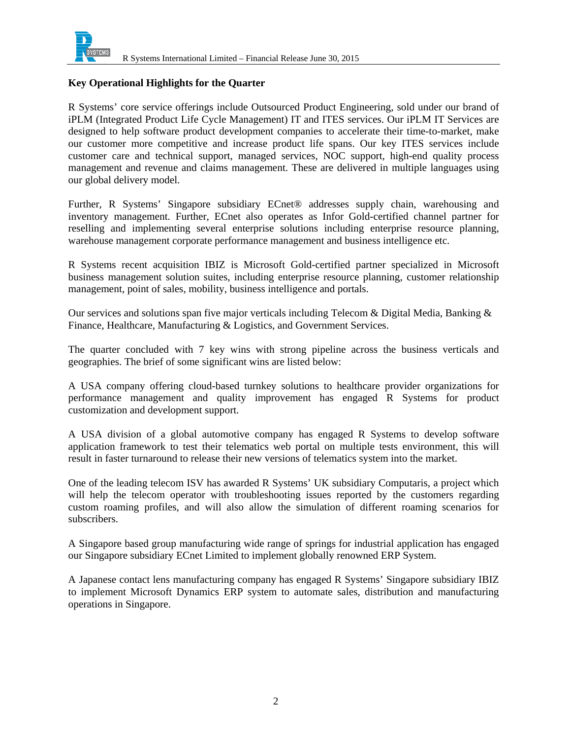

### **Key Operational Highlights for the Quarter**

R Systems' core service offerings include Outsourced Product Engineering, sold under our brand of iPLM (Integrated Product Life Cycle Management) IT and ITES services. Our iPLM IT Services are designed to help software product development companies to accelerate their time-to-market, make our customer more competitive and increase product life spans. Our key ITES services include customer care and technical support, managed services, NOC support, high-end quality process management and revenue and claims management. These are delivered in multiple languages using our global delivery model.

Further, R Systems' Singapore subsidiary ECnet® addresses supply chain, warehousing and inventory management. Further, ECnet also operates as Infor Gold-certified channel partner for reselling and implementing several enterprise solutions including enterprise resource planning, warehouse management corporate performance management and business intelligence etc.

R Systems recent acquisition IBIZ is Microsoft Gold-certified partner specialized in Microsoft business management solution suites, including enterprise resource planning, customer relationship management, point of sales, mobility, business intelligence and portals.

Our services and solutions span five major verticals including Telecom & Digital Media, Banking  $\&$ Finance, Healthcare, Manufacturing & Logistics, and Government Services.

The quarter concluded with 7 key wins with strong pipeline across the business verticals and geographies. The brief of some significant wins are listed below:

A USA company offering cloud-based turnkey solutions to healthcare provider organizations for performance management and quality improvement has engaged R Systems for product customization and development support.

A USA division of a global automotive company has engaged R Systems to develop software application framework to test their telematics web portal on multiple tests environment, this will result in faster turnaround to release their new versions of telematics system into the market.

One of the leading telecom ISV has awarded R Systems' UK subsidiary Computaris, a project which will help the telecom operator with troubleshooting issues reported by the customers regarding custom roaming profiles, and will also allow the simulation of different roaming scenarios for subscribers.

A Singapore based group manufacturing wide range of springs for industrial application has engaged our Singapore subsidiary ECnet Limited to implement globally renowned ERP System.

A Japanese contact lens manufacturing company has engaged R Systems' Singapore subsidiary IBIZ to implement Microsoft Dynamics ERP system to automate sales, distribution and manufacturing operations in Singapore.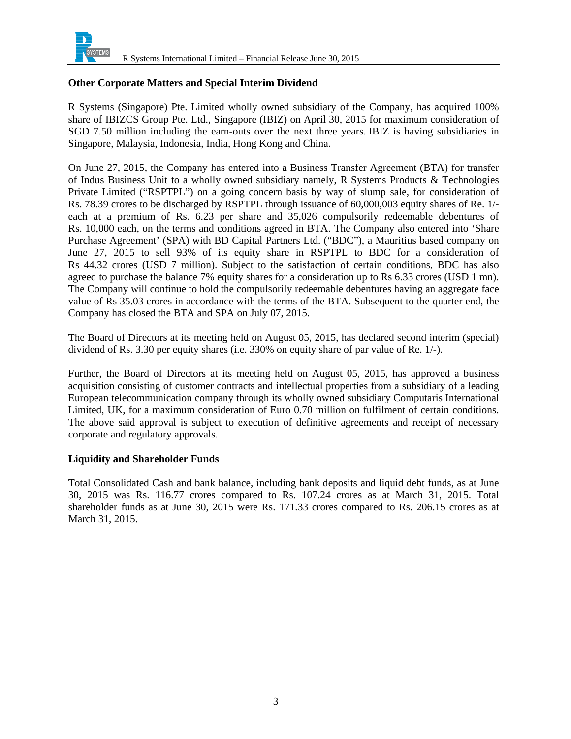

### **Other Corporate Matters and Special Interim Dividend**

R Systems (Singapore) Pte. Limited wholly owned subsidiary of the Company, has acquired 100% share of IBIZCS Group Pte. Ltd., Singapore (IBIZ) on April 30, 2015 for maximum consideration of SGD 7.50 million including the earn-outs over the next three years. IBIZ is having subsidiaries in Singapore, Malaysia, Indonesia, India, Hong Kong and China.

On June 27, 2015, the Company has entered into a Business Transfer Agreement (BTA) for transfer of Indus Business Unit to a wholly owned subsidiary namely, R Systems Products & Technologies Private Limited ("RSPTPL") on a going concern basis by way of slump sale, for consideration of Rs. 78.39 crores to be discharged by RSPTPL through issuance of 60,000,003 equity shares of Re. 1/ each at a premium of Rs. 6.23 per share and 35,026 compulsorily redeemable debentures of Rs. 10,000 each, on the terms and conditions agreed in BTA. The Company also entered into 'Share Purchase Agreement' (SPA) with BD Capital Partners Ltd. ("BDC"), a Mauritius based company on June 27, 2015 to sell 93% of its equity share in RSPTPL to BDC for a consideration of Rs 44.32 crores (USD 7 million). Subject to the satisfaction of certain conditions, BDC has also agreed to purchase the balance 7% equity shares for a consideration up to Rs 6.33 crores (USD 1 mn). The Company will continue to hold the compulsorily redeemable debentures having an aggregate face value of Rs 35.03 crores in accordance with the terms of the BTA. Subsequent to the quarter end, the Company has closed the BTA and SPA on July 07, 2015.

The Board of Directors at its meeting held on August 05, 2015, has declared second interim (special) dividend of Rs. 3.30 per equity shares (i.e. 330% on equity share of par value of Re. 1/-).

Further, the Board of Directors at its meeting held on August 05, 2015, has approved a business acquisition consisting of customer contracts and intellectual properties from a subsidiary of a leading European telecommunication company through its wholly owned subsidiary Computaris International Limited, UK, for a maximum consideration of Euro 0.70 million on fulfilment of certain conditions. The above said approval is subject to execution of definitive agreements and receipt of necessary corporate and regulatory approvals.

### **Liquidity and Shareholder Funds**

Total Consolidated Cash and bank balance, including bank deposits and liquid debt funds, as at June 30, 2015 was Rs. 116.77 crores compared to Rs. 107.24 crores as at March 31, 2015. Total shareholder funds as at June 30, 2015 were Rs. 171.33 crores compared to Rs. 206.15 crores as at March 31, 2015.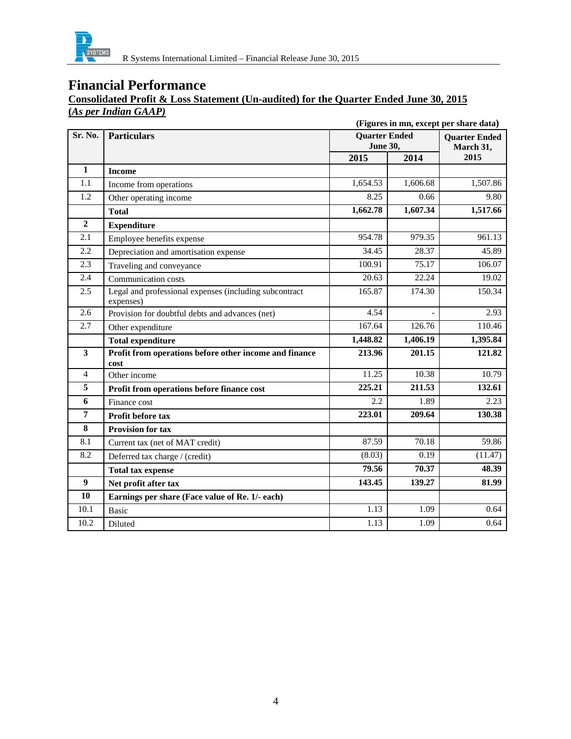

# **Financial Performance**

### **Consolidated Profit & Loss Statement (Un-audited) for the Quarter Ended June 30, 2015 (***As per Indian GAAP)*

|                  | (Figures in mn, except per share data)                              |                                         |          |                                   |  |
|------------------|---------------------------------------------------------------------|-----------------------------------------|----------|-----------------------------------|--|
| Sr. No.          | <b>Particulars</b>                                                  | <b>Quarter Ended</b><br><b>June 30,</b> |          | <b>Ouarter Ended</b><br>March 31, |  |
|                  |                                                                     | 2015                                    | 2014     | 2015                              |  |
| $\mathbf{1}$     | <b>Income</b>                                                       |                                         |          |                                   |  |
| 1.1              | Income from operations                                              | 1,654.53                                | 1,606.68 | 1,507.86                          |  |
| 1.2              | Other operating income                                              | 8.25                                    | 0.66     | 9.80                              |  |
|                  | <b>Total</b>                                                        | 1,662.78                                | 1,607.34 | 1,517.66                          |  |
| $\overline{2}$   | <b>Expenditure</b>                                                  |                                         |          |                                   |  |
| 2.1              | Employee benefits expense                                           | 954.78                                  | 979.35   | 961.13                            |  |
| 2.2              | Depreciation and amortisation expense                               | 34.45                                   | 28.37    | 45.89                             |  |
| 2.3              | Traveling and conveyance                                            | 100.91                                  | 75.17    | 106.07                            |  |
| 2.4              | Communication costs                                                 | 20.63                                   | 22.24    | 19.02                             |  |
| 2.5              | Legal and professional expenses (including subcontract<br>expenses) | 165.87                                  | 174.30   | 150.34                            |  |
| 2.6              | Provision for doubtful debts and advances (net)                     | 4.54                                    |          | 2.93                              |  |
| 2.7              | Other expenditure                                                   | 167.64                                  | 126.76   | 110.46                            |  |
|                  | <b>Total expenditure</b>                                            | 1,448.82                                | 1,406.19 | 1,395.84                          |  |
| 3                | Profit from operations before other income and finance<br>cost      | 213.96                                  | 201.15   | 121.82                            |  |
| $\overline{4}$   | Other income                                                        | 11.25                                   | 10.38    | 10.79                             |  |
| 5                | Profit from operations before finance cost                          | 225.21                                  | 211.53   | 132.61                            |  |
| 6                | Finance cost                                                        | 2.2                                     | 1.89     | 2.23                              |  |
| 7                | <b>Profit before tax</b>                                            | 223.01                                  | 209.64   | 130.38                            |  |
| 8                | <b>Provision for tax</b>                                            |                                         |          |                                   |  |
| 8.1              | Current tax (net of MAT credit)                                     | 87.59                                   | 70.18    | 59.86                             |  |
| 8.2              | Deferred tax charge / (credit)                                      | (8.03)                                  | 0.19     | (11.47)                           |  |
|                  | <b>Total tax expense</b>                                            | 79.56                                   | 70.37    | 48.39                             |  |
| $\boldsymbol{9}$ | Net profit after tax                                                | 143.45                                  | 139.27   | 81.99                             |  |
| 10               | Earnings per share (Face value of Re. 1/- each)                     |                                         |          |                                   |  |
| 10.1             | <b>Basic</b>                                                        | 1.13                                    | 1.09     | 0.64                              |  |
| 10.2             | Diluted                                                             | 1.13                                    | 1.09     | 0.64                              |  |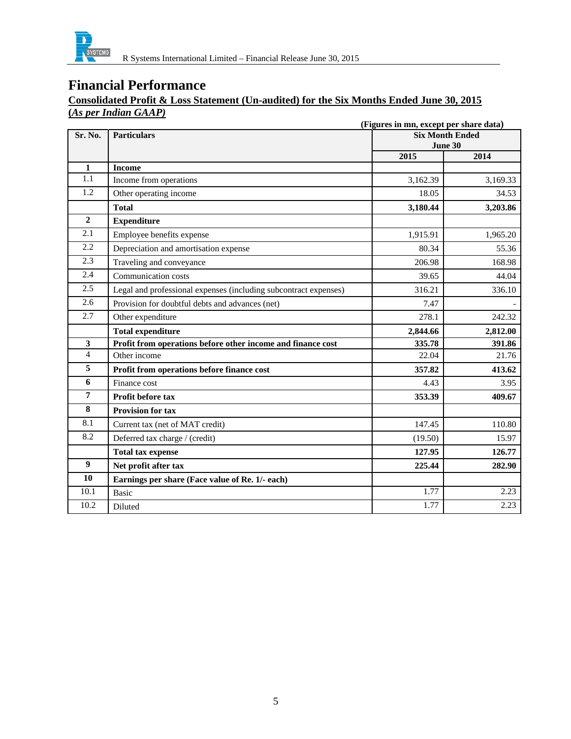

# **Financial Performance**

# **Consolidated Profit & Loss Statement (Un-audited) for the Six Months Ended June 30, 2015 (***As per Indian GAAP)*

|                         | (Figures in mn, except per share data)                           |                                   |          |  |
|-------------------------|------------------------------------------------------------------|-----------------------------------|----------|--|
| Sr. No.                 | <b>Particulars</b>                                               | <b>Six Month Ended</b><br>June 30 |          |  |
|                         |                                                                  | 2015                              | 2014     |  |
| $\mathbf{1}$            | <b>Income</b>                                                    |                                   |          |  |
| 1.1                     | Income from operations                                           | 3,162.39                          | 3,169.33 |  |
| 1.2                     | Other operating income                                           | 18.05                             | 34.53    |  |
|                         | <b>Total</b>                                                     | 3,180.44                          | 3,203.86 |  |
| $\boldsymbol{2}$        | <b>Expenditure</b>                                               |                                   |          |  |
| 2.1                     | Employee benefits expense                                        | 1,915.91                          | 1,965.20 |  |
| 2.2                     | Depreciation and amortisation expense                            | 80.34                             | 55.36    |  |
| 2.3                     | Traveling and conveyance                                         | 206.98                            | 168.98   |  |
| 2.4                     | Communication costs                                              | 39.65                             | 44.04    |  |
| 2.5                     | Legal and professional expenses (including subcontract expenses) | 316.21                            | 336.10   |  |
| 2.6                     | Provision for doubtful debts and advances (net)                  | 7.47                              |          |  |
| 2.7                     | Other expenditure                                                | 278.1                             | 242.32   |  |
|                         | <b>Total expenditure</b>                                         | 2,844.66                          | 2,812.00 |  |
| 3                       | Profit from operations before other income and finance cost      | 335.78                            | 391.86   |  |
| $\overline{4}$          | Other income                                                     | 22.04                             | 21.76    |  |
| 5                       | Profit from operations before finance cost                       | 357.82                            | 413.62   |  |
| 6                       | Finance cost                                                     | 4.43                              | 3.95     |  |
| 7                       | <b>Profit before tax</b>                                         | 353.39                            | 409.67   |  |
| $\overline{\mathbf{8}}$ | <b>Provision for tax</b>                                         |                                   |          |  |
| 8.1                     | Current tax (net of MAT credit)                                  | 147.45                            | 110.80   |  |
| 8.2                     | Deferred tax charge / (credit)                                   | (19.50)                           | 15.97    |  |
|                         | <b>Total tax expense</b>                                         | 127.95                            | 126.77   |  |
| $\boldsymbol{9}$        | Net profit after tax                                             | 225.44                            | 282.90   |  |
| 10                      | Earnings per share (Face value of Re. 1/- each)                  |                                   |          |  |
| 10.1                    | <b>Basic</b>                                                     | 1.77                              | 2.23     |  |
| 10.2                    | Diluted                                                          | 1.77                              | 2.23     |  |
|                         |                                                                  |                                   |          |  |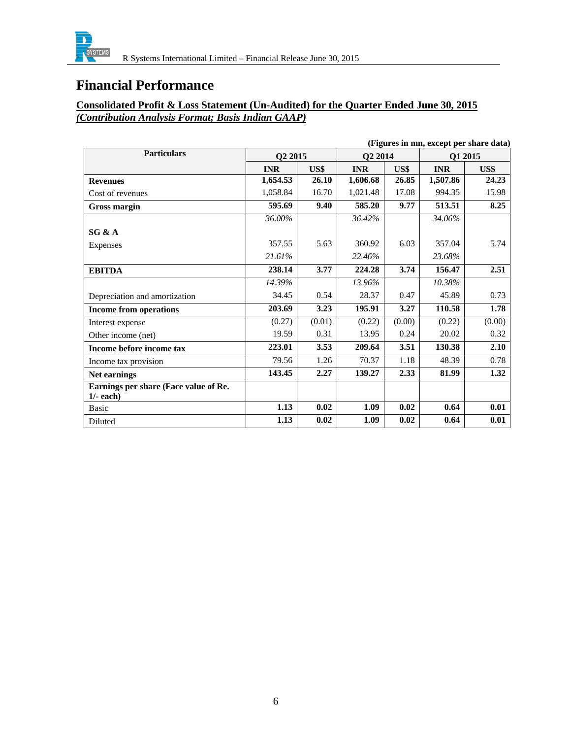

# **Financial Performance**

### **Consolidated Profit & Loss Statement (Un-Audited) for the Quarter Ended June 30, 2015**  *(Contribution Analysis Format; Basis Indian GAAP)*

|                                       |            |        |                     |        | (Figures in mn, except per share data) |        |
|---------------------------------------|------------|--------|---------------------|--------|----------------------------------------|--------|
| <b>Particulars</b>                    | Q2 2015    |        | Q <sub>2</sub> 2014 |        | Q1 2015                                |        |
|                                       | <b>INR</b> | US\$   | <b>INR</b>          | US\$   | <b>INR</b>                             | US\$   |
| <b>Revenues</b>                       | 1,654.53   | 26.10  | 1,606.68            | 26.85  | 1,507.86                               | 24.23  |
| Cost of revenues                      | 1,058.84   | 16.70  | 1,021.48            | 17.08  | 994.35                                 | 15.98  |
| <b>Gross margin</b>                   | 595.69     | 9.40   | 585.20              | 9.77   | 513.51                                 | 8.25   |
|                                       | 36.00%     |        | 36.42%              |        | 34.06%                                 |        |
| SG & A                                |            |        |                     |        |                                        |        |
| <b>Expenses</b>                       | 357.55     | 5.63   | 360.92              | 6.03   | 357.04                                 | 5.74   |
|                                       | 21.61%     |        | 22.46%              |        | 23.68%                                 |        |
| <b>EBITDA</b>                         | 238.14     | 3.77   | 224.28              | 3.74   | 156.47                                 | 2.51   |
|                                       | 14.39%     |        | 13.96%              |        | 10.38%                                 |        |
| Depreciation and amortization         | 34.45      | 0.54   | 28.37               | 0.47   | 45.89                                  | 0.73   |
| <b>Income from operations</b>         | 203.69     | 3.23   | 195.91              | 3.27   | 110.58                                 | 1.78   |
| Interest expense                      | (0.27)     | (0.01) | (0.22)              | (0.00) | (0.22)                                 | (0.00) |
| Other income (net)                    | 19.59      | 0.31   | 13.95               | 0.24   | 20.02                                  | 0.32   |
| Income before income tax              | 223.01     | 3.53   | 209.64              | 3.51   | 130.38                                 | 2.10   |
| Income tax provision                  | 79.56      | 1.26   | 70.37               | 1.18   | 48.39                                  | 0.78   |
| <b>Net earnings</b>                   | 143.45     | 2.27   | 139.27              | 2.33   | 81.99                                  | 1.32   |
| Earnings per share (Face value of Re. |            |        |                     |        |                                        |        |
| $1/-$ each)                           |            |        |                     |        |                                        |        |
| <b>Basic</b>                          | 1.13       | 0.02   | 1.09                | 0.02   | 0.64                                   | 0.01   |
| Diluted                               | 1.13       | 0.02   | 1.09                | 0.02   | 0.64                                   | 0.01   |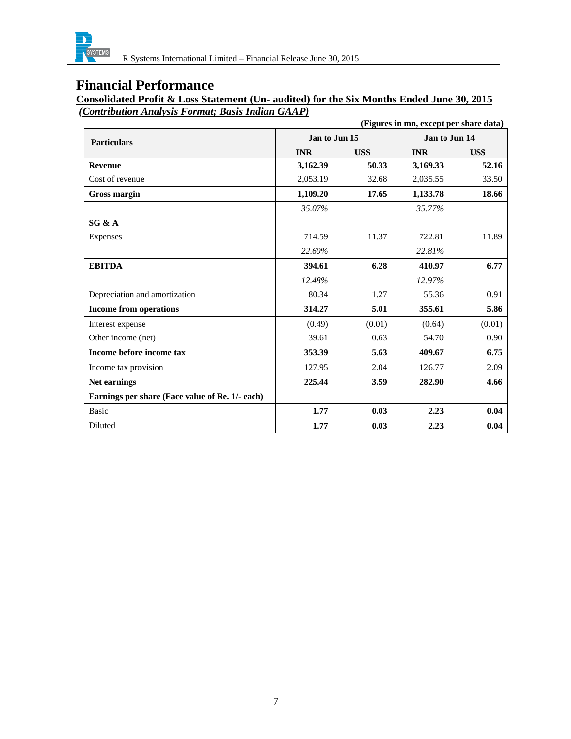

R Systems International Limited – Financial Release June 30, 2015

# **Financial Performance**

**Consolidated Profit & Loss Statement (Un- audited) for the Six Months Ended June 30, 2015**   *(Contribution Analysis Format; Basis Indian GAAP)*

| (Figures in mn, except per share data)          |               |        |               |        |
|-------------------------------------------------|---------------|--------|---------------|--------|
| <b>Particulars</b>                              | Jan to Jun 15 |        | Jan to Jun 14 |        |
|                                                 | <b>INR</b>    | US\$   | <b>INR</b>    | US\$   |
| <b>Revenue</b>                                  | 3,162.39      | 50.33  | 3,169.33      | 52.16  |
| Cost of revenue                                 | 2,053.19      | 32.68  | 2,035.55      | 33.50  |
| Gross margin                                    | 1,109.20      | 17.65  | 1,133.78      | 18.66  |
|                                                 | 35.07%        |        | 35.77%        |        |
| SG & A                                          |               |        |               |        |
| Expenses                                        | 714.59        | 11.37  | 722.81        | 11.89  |
|                                                 | 22.60%        |        | 22.81%        |        |
| <b>EBITDA</b>                                   | 394.61        | 6.28   | 410.97        | 6.77   |
|                                                 | 12.48%        |        | 12.97%        |        |
| Depreciation and amortization                   | 80.34         | 1.27   | 55.36         | 0.91   |
| <b>Income from operations</b>                   | 314.27        | 5.01   | 355.61        | 5.86   |
| Interest expense                                | (0.49)        | (0.01) | (0.64)        | (0.01) |
| Other income (net)                              | 39.61         | 0.63   | 54.70         | 0.90   |
| Income before income tax                        | 353.39        | 5.63   | 409.67        | 6.75   |
| Income tax provision                            | 127.95        | 2.04   | 126.77        | 2.09   |
| <b>Net earnings</b>                             | 225.44        | 3.59   | 282.90        | 4.66   |
| Earnings per share (Face value of Re. 1/- each) |               |        |               |        |
| <b>Basic</b>                                    | 1.77          | 0.03   | 2.23          | 0.04   |
| Diluted                                         | 1.77          | 0.03   | 2.23          | 0.04   |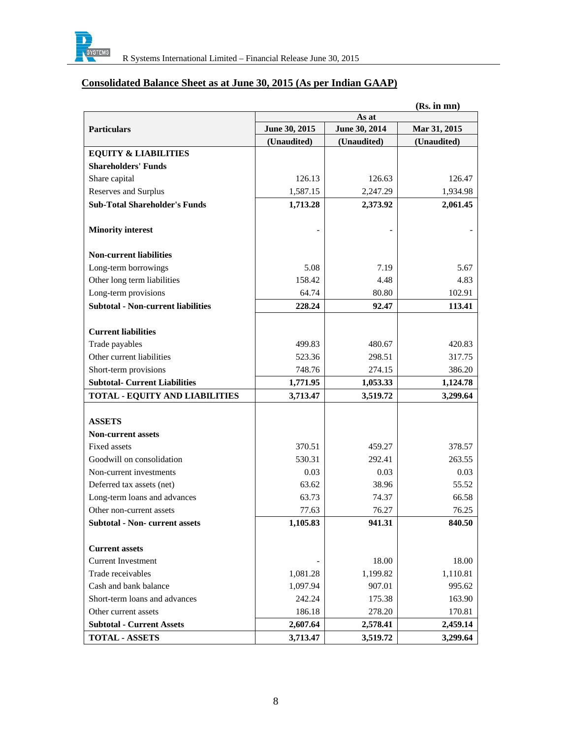

# **Consolidated Balance Sheet as at June 30, 2015 (As per Indian GAAP)**

|                                           | (Rs. in mn)   |               |              |  |  |
|-------------------------------------------|---------------|---------------|--------------|--|--|
|                                           | As at         |               |              |  |  |
| <b>Particulars</b>                        | June 30, 2015 | June 30, 2014 | Mar 31, 2015 |  |  |
|                                           | (Unaudited)   | (Unaudited)   | (Unaudited)  |  |  |
| <b>EQUITY &amp; LIABILITIES</b>           |               |               |              |  |  |
| <b>Shareholders' Funds</b>                |               |               |              |  |  |
| Share capital                             | 126.13        | 126.63        | 126.47       |  |  |
| Reserves and Surplus                      | 1,587.15      | 2,247.29      | 1,934.98     |  |  |
| <b>Sub-Total Shareholder's Funds</b>      | 1,713.28      | 2,373.92      | 2,061.45     |  |  |
| <b>Minority interest</b>                  |               |               |              |  |  |
| <b>Non-current liabilities</b>            |               |               |              |  |  |
| Long-term borrowings                      | 5.08          | 7.19          | 5.67         |  |  |
| Other long term liabilities               | 158.42        | 4.48          | 4.83         |  |  |
| Long-term provisions                      | 64.74         | 80.80         | 102.91       |  |  |
| <b>Subtotal - Non-current liabilities</b> | 228.24        | 92.47         | 113.41       |  |  |
|                                           |               |               |              |  |  |
| <b>Current liabilities</b>                |               |               |              |  |  |
| Trade payables                            | 499.83        | 480.67        | 420.83       |  |  |
| Other current liabilities                 | 523.36        | 298.51        | 317.75       |  |  |
| Short-term provisions                     | 748.76        | 274.15        | 386.20       |  |  |
| <b>Subtotal- Current Liabilities</b>      | 1,771.95      | 1,053.33      | 1,124.78     |  |  |
| <b>TOTAL - EQUITY AND LIABILITIES</b>     | 3,713.47      | 3,519.72      | 3,299.64     |  |  |
|                                           |               |               |              |  |  |
| <b>ASSETS</b>                             |               |               |              |  |  |
| <b>Non-current assets</b>                 |               |               |              |  |  |
| Fixed assets                              | 370.51        | 459.27        | 378.57       |  |  |
| Goodwill on consolidation                 | 530.31        | 292.41        | 263.55       |  |  |
| Non-current investments                   | 0.03          | 0.03          | 0.03         |  |  |
| Deferred tax assets (net)                 | 63.62         | 38.96         | 55.52        |  |  |
| Long-term loans and advances              | 63.73         | 74.37         | 66.58        |  |  |
| Other non-current assets                  | 77.63         | 76.27         | 76.25        |  |  |
| <b>Subtotal - Non- current assets</b>     | 1,105.83      | 941.31        | 840.50       |  |  |
| <b>Current assets</b>                     |               |               |              |  |  |
| <b>Current Investment</b>                 |               | 18.00         | 18.00        |  |  |
| Trade receivables                         | 1,081.28      | 1,199.82      | 1,110.81     |  |  |
| Cash and bank balance                     | 1,097.94      | 907.01        | 995.62       |  |  |
| Short-term loans and advances             | 242.24        | 175.38        | 163.90       |  |  |
| Other current assets                      | 186.18        | 278.20        | 170.81       |  |  |
| <b>Subtotal - Current Assets</b>          | 2,607.64      | 2,578.41      | 2,459.14     |  |  |
| <b>TOTAL - ASSETS</b>                     | 3,713.47      | 3,519.72      | 3,299.64     |  |  |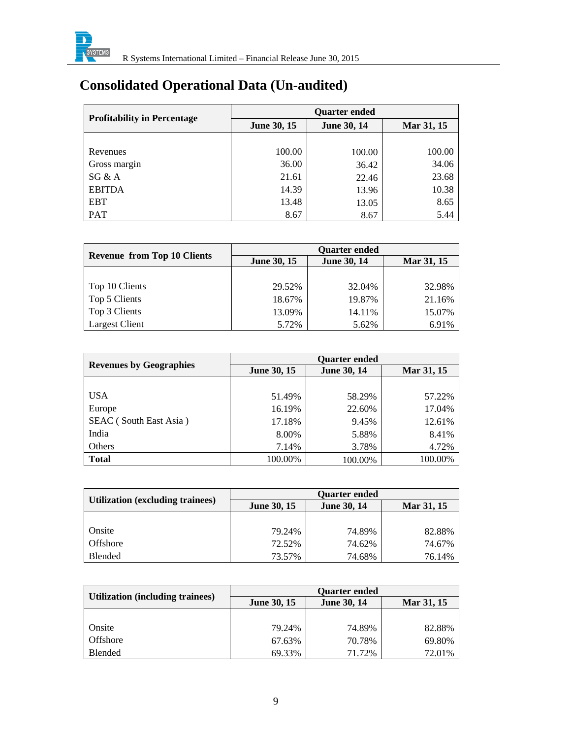

# **Consolidated Operational Data (Un-audited)**

|                                    | <b>Quarter ended</b> |                    |            |  |
|------------------------------------|----------------------|--------------------|------------|--|
| <b>Profitability in Percentage</b> | <b>June 30, 15</b>   | <b>June 30, 14</b> | Mar 31, 15 |  |
|                                    |                      |                    |            |  |
| Revenues                           | 100.00               | 100.00             | 100.00     |  |
| Gross margin                       | 36.00                | 36.42              | 34.06      |  |
| SG & A                             | 21.61                | 22.46              | 23.68      |  |
| <b>EBITDA</b>                      | 14.39                | 13.96              | 10.38      |  |
| <b>EBT</b>                         | 13.48                | 13.05              | 8.65       |  |
| PAT                                | 8.67                 | 8.67               | 5.44       |  |

| <b>Revenue from Top 10 Clients</b> | <b>Ouarter ended</b> |                    |            |  |
|------------------------------------|----------------------|--------------------|------------|--|
|                                    | <b>June 30, 15</b>   | <b>June 30, 14</b> | Mar 31, 15 |  |
|                                    |                      |                    |            |  |
| Top 10 Clients                     | 29.52%               | 32.04%             | 32.98%     |  |
| Top 5 Clients                      | 18.67%               | 19.87%             | 21.16%     |  |
| Top 3 Clients                      | 13.09%               | 14.11%             | 15.07%     |  |
| <b>Largest Client</b>              | 5.72%                | 5.62%              | 6.91%      |  |

|                                | <b>Ouarter ended</b> |                    |            |  |
|--------------------------------|----------------------|--------------------|------------|--|
| <b>Revenues by Geographies</b> | <b>June 30, 15</b>   | <b>June 30, 14</b> | Mar 31, 15 |  |
|                                |                      |                    |            |  |
| <b>USA</b>                     | 51.49%               | 58.29%             | 57.22%     |  |
| Europe                         | 16.19%               | 22.60%             | 17.04%     |  |
| SEAC (South East Asia)         | 17.18%               | 9.45%              | 12.61%     |  |
| India                          | 8.00%                | 5.88%              | 8.41%      |  |
| Others                         | 7.14%                | 3.78%              | 4.72%      |  |
| <b>Total</b>                   | 100.00%              | 100.00%            | 100.00%    |  |

|                                         | <b>Ouarter ended</b> |                    |            |  |
|-----------------------------------------|----------------------|--------------------|------------|--|
| <b>Utilization (excluding trainees)</b> | <b>June 30, 15</b>   | <b>June 30, 14</b> | Mar 31, 15 |  |
|                                         |                      |                    |            |  |
| Onsite                                  | 79.24%               | 74.89%             | 82.88%     |  |
| <b>Offshore</b>                         | 72.52%               | 74.62%             | 74.67%     |  |
| Blended                                 | 73.57%               | 74.68%             | 76.14%     |  |

|                                  | <b>Quarter ended</b> |                    |            |  |
|----------------------------------|----------------------|--------------------|------------|--|
| Utilization (including trainees) | <b>June 30, 15</b>   | <b>June 30, 14</b> | Mar 31, 15 |  |
|                                  |                      |                    |            |  |
| Onsite                           | 79.24%               | 74.89%             | 82.88%     |  |
| Offshore                         | 67.63%               | 70.78%             | 69.80%     |  |
| <b>Blended</b>                   | 69.33%               | 71.72%             | 72.01%     |  |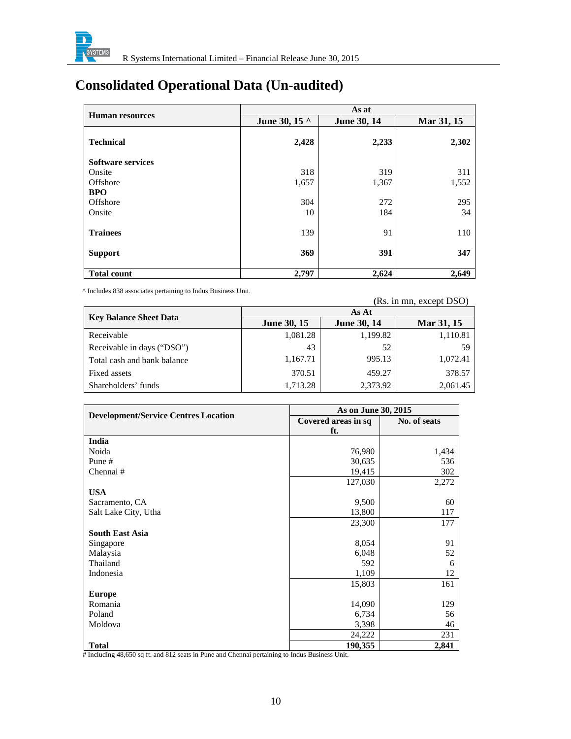

# **Consolidated Operational Data (Un-audited)**

|                          | As at         |                    |            |  |
|--------------------------|---------------|--------------------|------------|--|
| <b>Human resources</b>   | June 30, 15 ^ | <b>June 30, 14</b> | Mar 31, 15 |  |
| <b>Technical</b>         | 2,428         | 2,233              | 2,302      |  |
| <b>Software services</b> |               |                    |            |  |
| Onsite                   | 318           | 319                | 311        |  |
| Offshore                 | 1,657         | 1,367              | 1,552      |  |
| <b>BPO</b>               |               |                    |            |  |
| Offshore                 | 304           | 272                | 295        |  |
| Onsite                   | 10            | 184                | 34         |  |
| <b>Trainees</b>          | 139           | 91                 | 110        |  |
| <b>Support</b>           | 369           | 391                | 347        |  |
| <b>Total count</b>       | 2,797         | 2,624              | 2,649      |  |

^ Includes 838 associates pertaining to Indus Business Unit. **(**Rs. in mn, except DSO)

|                               | As At              |                    |            |  |
|-------------------------------|--------------------|--------------------|------------|--|
| <b>Key Balance Sheet Data</b> | <b>June 30, 15</b> | <b>June 30, 14</b> | Mar 31, 15 |  |
| Receivable                    | 1,081.28           | 1,199.82           | 1,110.81   |  |
| Receivable in days ("DSO")    | 43                 | 52                 | 59         |  |
| Total cash and bank balance   | 1,167.71           | 995.13             | 1,072.41   |  |
| Fixed assets                  | 370.51             | 459.27             | 378.57     |  |
| Shareholders' funds           | 1,713.28           | 2,373.92           | 2,061.45   |  |

| <b>Development/Service Centres Location</b> | As on June 30, 2015 |              |
|---------------------------------------------|---------------------|--------------|
|                                             | Covered areas in sq | No. of seats |
|                                             | ft.                 |              |
| India                                       |                     |              |
| Noida                                       | 76,980              | 1,434        |
| Pune#                                       | 30,635              | 536          |
| Chennai#                                    | 19,415              | 302          |
|                                             | 127,030             | 2,272        |
| <b>USA</b>                                  |                     |              |
| Sacramento, CA                              | 9,500               | 60           |
| Salt Lake City, Utha                        | 13,800              | 117          |
|                                             | 23,300              | 177          |
| <b>South East Asia</b>                      |                     |              |
| Singapore                                   | 8,054               | 91           |
| Malaysia                                    | 6,048               | 52           |
| Thailand                                    | 592                 | 6            |
| Indonesia                                   | 1,109               | 12           |
|                                             | 15,803              | 161          |
| <b>Europe</b>                               |                     |              |
| Romania                                     | 14,090              | 129          |
| Poland                                      | 6,734               | 56           |
| Moldova                                     | 3,398               | 46           |
|                                             | 24,222              | 231          |
| <b>Total</b>                                | 190,355             | 2,841        |

# Including 48,650 sq ft. and 812 seats in Pune and Chennai pertaining to Indus Business Unit.